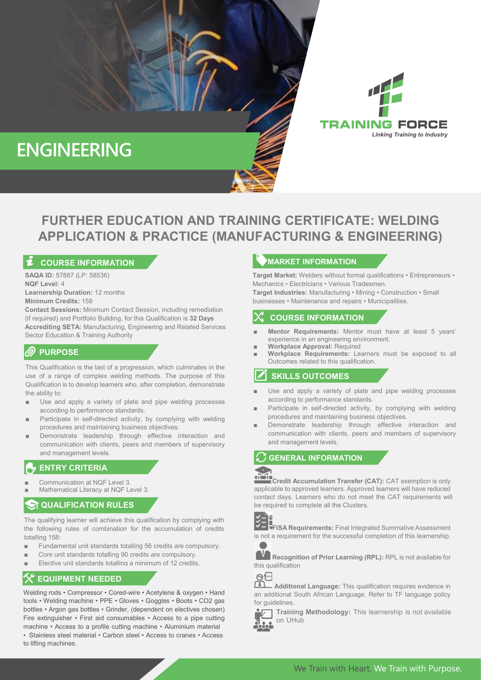

# **ENGINEERING**

# **FURTHER EDUCATION AND TRAINING CERTIFICATE: WELDING APPLICATION & PRACTICE (MANUFACTURING & ENGINEERING)**

# **COURSE INFORMATION**

**SAQA ID:** 57887 (LP: 58536) **NQF Level:** 4

**Learnership Duration:** 12 months **Minimum Credits:** 158

**Contact Sessions:** Minimum Contact Session, including remediation (if required) and Portfolio Building, for this Qualification is **32 Days Accrediting SETA:** Manufacturing, Engineering and Related Services Sector Education & Training Authority

# **PURPOSE**

This Qualification is the last of a progression, which culminates in the use of a range of complex welding methods. The purpose of this Qualification is to develop learners who, after completion, demonstrate the ability to:

- Use and apply a variety of plate and pipe welding processes according to performance standards.
- Participate in self-directed activity, by complying with welding procedures and maintaining business objectives.
- Demonstrate leadership through effective interaction and communication with clients, peers and members of supervisory and management levels.

#### **ENTRY CRITERIA**

- Communication at NQF Level 3.
- Mathematical Literacy at NQF Level 3.

# **ST QUALIFICATION RULES**

The qualifying learner will achieve this qualification by complying with the following rules of combination for the accumulation of credits totalling 158:

- Fundamental unit standards totalling 56 credits are compulsory.
- Core unit standards totalling 90 credits are compulsory.
- Elective unit standards totalling a minimum of 12 credits.

#### **EQUIPMENT NEEDED**

Welding rods • Compressor • Cored-wire • Acetylene & oxygen • Hand tools • Welding machine • PPE • Gloves • Goggles • Boots • CO2 gas bottles • Argon gas bottles • Grinder, (dependent on electives chosen) Fire extinguisher • First aid consumables • Access to a pipe cutting machine • Access to a profile cutting machine • Aluminium material • Stainless steel material • Carbon steel • Access to cranes • Access to lifting machines.

# **MARKET INFORMATION**

**Target Market:** Welders without formal qualifications • Entrepreneurs • Mechanics • Electricians • Various Tradesmen. **Target Industries:** Manufacturing • Mining • Construction • Small businesses • Maintenance and repairs • Municipalities.

#### **COURSE INFORMATION**

- **Mentor Requirements:** Mentor must have at least 5 years' experience in an engineering environment.
- **Workplace Approval: Required**
- **Workplace Requirements:** Learners must be exposed to all Outcomes related to this qualification.

### **SKILLS OUTCOMES**

- Use and apply a variety of plate and pipe welding processes according to performance standards.
- Participate in self-directed activity, by complying with welding procedures and maintaining business objectives.
- Demonstrate leadership through effective interaction and communication with clients, peers and members of supervisory and management levels.

#### **GENERAL INFORMATION**

# ◢

**Credit Accumulation Transfer (CAT):** CAT exemption is only applicable to approved learners. Approved learners will have reduced contact days. Learners who do not meet the CAT requirements will be required to complete all the Clusters.



**FISA Requirements:** Final Integrated Summative Assessment is not a requirement for the successful completion of this learnership.



**Recognition of Prior Learning (RPL):** RPL is not available for this qualification



**Additional Language:** This qualification requires evidence in an additional South African Language. Refer to TF language policy for guidelines.



**Training Methodology:** This learnership is not available on UHub